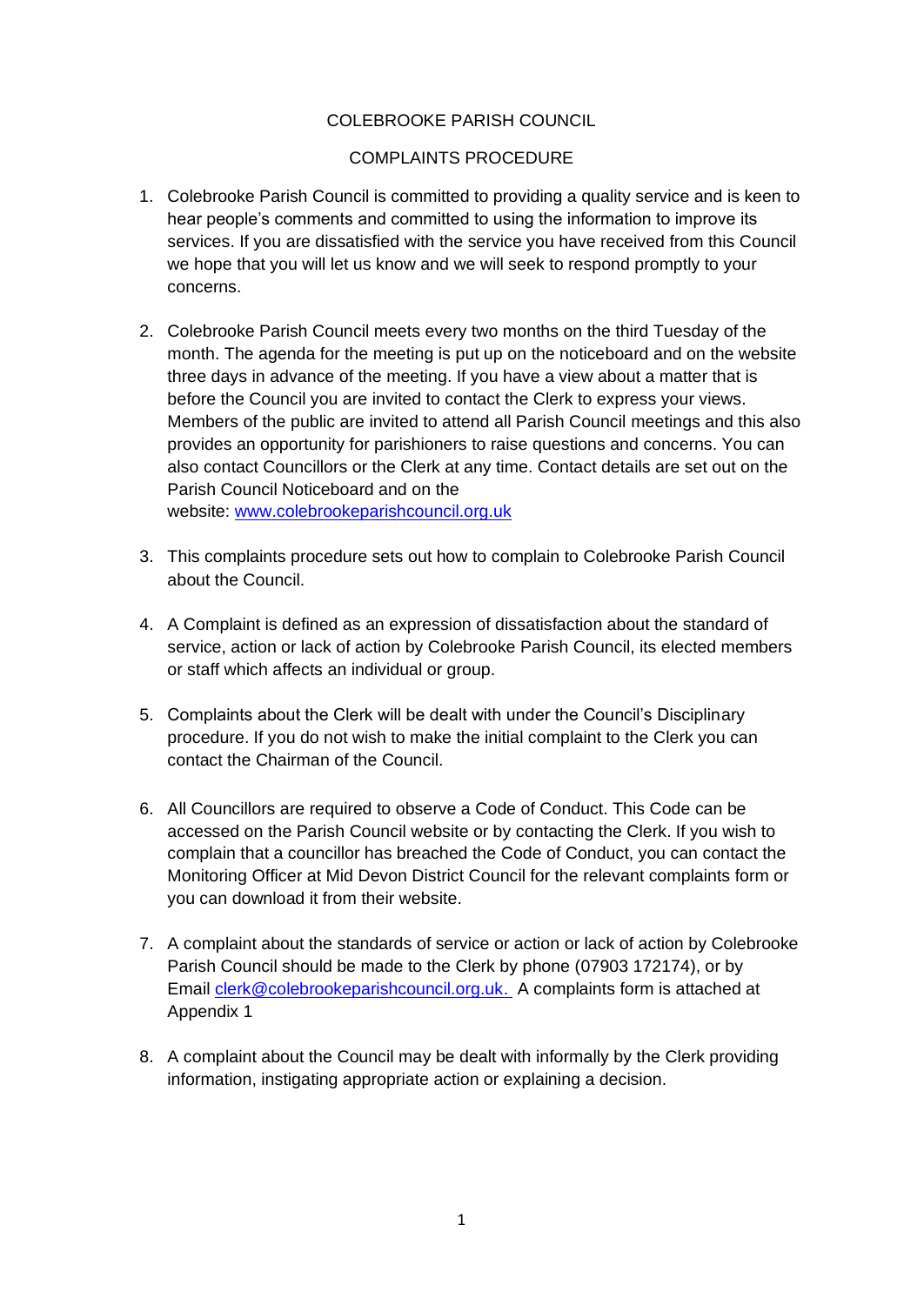# COLEBROOKE PARISH COUNCIL

#### COMPLAINTS PROCEDURE

- 1. Colebrooke Parish Council is committed to providing a quality service and is keen to hear people's comments and committed to using the information to improve its services. If you are dissatisfied with the service you have received from this Council we hope that you will let us know and we will seek to respond promptly to your concerns.
- 2. Colebrooke Parish Council meets every two months on the third Tuesday of the month. The agenda for the meeting is put up on the noticeboard and on the website three days in advance of the meeting. If you have a view about a matter that is before the Council you are invited to contact the Clerk to express your views. Members of the public are invited to attend all Parish Council meetings and this also provides an opportunity for parishioners to raise questions and concerns. You can also contact Councillors or the Clerk at any time. Contact details are set out on the Parish Council Noticeboard and on the website: [www.colebrookeparishcouncil.org.uk](http://www.colebrookeparishcouncil.org.uk/)
- 3. This complaints procedure sets out how to complain to Colebrooke Parish Council about the Council.
- 4. A Complaint is defined as an expression of dissatisfaction about the standard of service, action or lack of action by Colebrooke Parish Council, its elected members or staff which affects an individual or group.
- 5. Complaints about the Clerk will be dealt with under the Council's Disciplinary procedure. If you do not wish to make the initial complaint to the Clerk you can contact the Chairman of the Council.
- 6. All Councillors are required to observe a Code of Conduct. This Code can be accessed on the Parish Council website or by contacting the Clerk. If you wish to complain that a councillor has breached the Code of Conduct, you can contact the Monitoring Officer at Mid Devon District Council for the relevant complaints form or you can download it from their website.
- 7. A complaint about the standards of service or action or lack of action by Colebrooke Parish Council should be made to the Clerk by phone (07903 172174), or by Email [clerk@colebrookeparishcouncil.org.uk.](mailto:clerk@colebrookeparishcouncil.org.uk) A complaints form is attached at Appendix 1
- 8. A complaint about the Council may be dealt with informally by the Clerk providing information, instigating appropriate action or explaining a decision.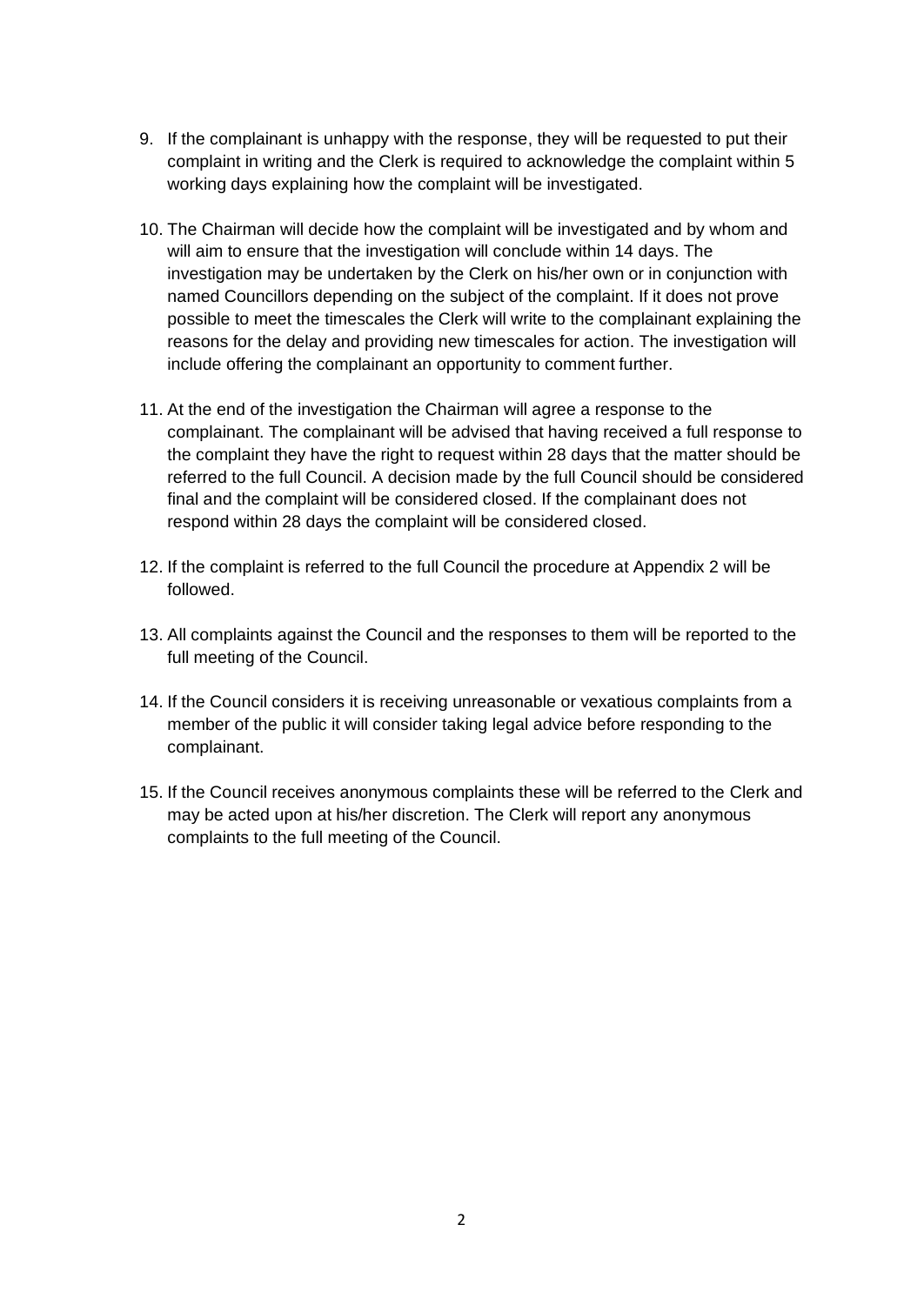- 9. If the complainant is unhappy with the response, they will be requested to put their complaint in writing and the Clerk is required to acknowledge the complaint within 5 working days explaining how the complaint will be investigated.
- 10. The Chairman will decide how the complaint will be investigated and by whom and will aim to ensure that the investigation will conclude within 14 days. The investigation may be undertaken by the Clerk on his/her own or in conjunction with named Councillors depending on the subject of the complaint. If it does not prove possible to meet the timescales the Clerk will write to the complainant explaining the reasons for the delay and providing new timescales for action. The investigation will include offering the complainant an opportunity to comment further.
- 11. At the end of the investigation the Chairman will agree a response to the complainant. The complainant will be advised that having received a full response to the complaint they have the right to request within 28 days that the matter should be referred to the full Council. A decision made by the full Council should be considered final and the complaint will be considered closed. If the complainant does not respond within 28 days the complaint will be considered closed.
- 12. If the complaint is referred to the full Council the procedure at Appendix 2 will be followed.
- 13. All complaints against the Council and the responses to them will be reported to the full meeting of the Council.
- 14. If the Council considers it is receiving unreasonable or vexatious complaints from a member of the public it will consider taking legal advice before responding to the complainant.
- 15. If the Council receives anonymous complaints these will be referred to the Clerk and may be acted upon at his/her discretion. The Clerk will report any anonymous complaints to the full meeting of the Council.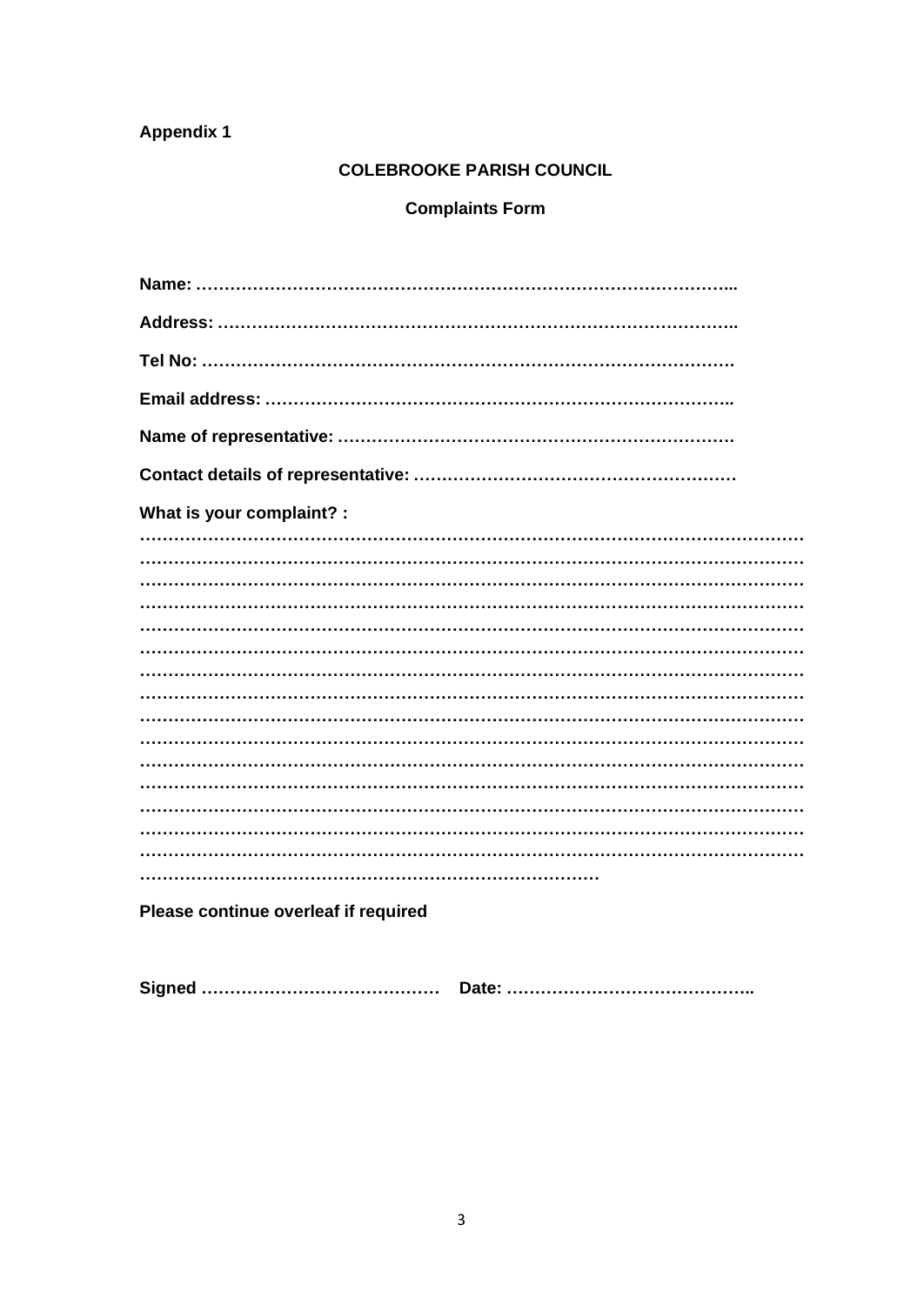# **Appendix 1**

#### **COLEBROOKE PARISH COUNCIL**

# **Complaints Form**

Please continue overleaf if required